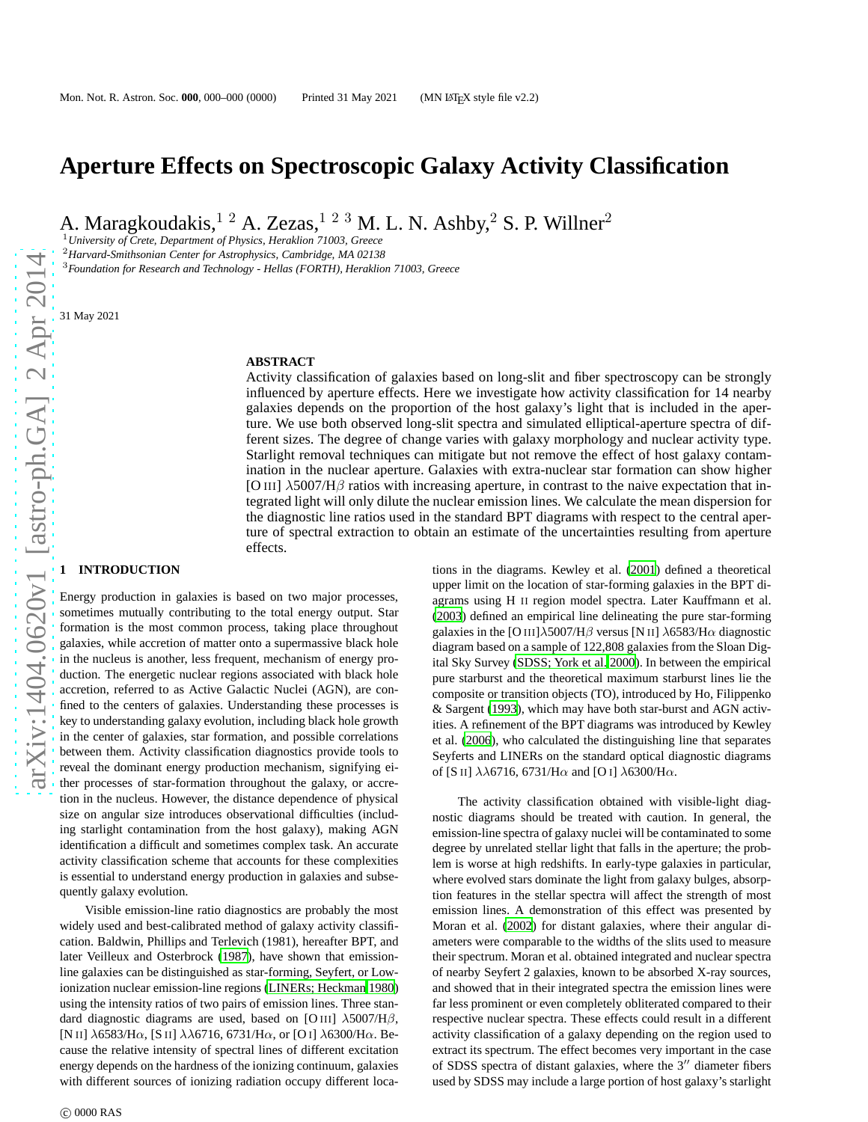# **Aperture Effects on Spectroscopic Galaxy Activity Classification**

A. Maragkoudakis,  $1^2$  A. Zezas,  $1^2$  <sup>3</sup> M. L. N. Ashby,  $2^2$  S. P. Willner<sup>2</sup>

<sup>1</sup>*University of Crete, Department of Physics, Heraklion 71003, Greece*

<sup>2</sup>*Harvard-Smithsonian Center for Astrophysics, Cambridge, MA 02138*

<sup>3</sup>*Foundation for Research and Technology - Hellas (FORTH), Heraklion 71003, Greece*

31 May 2021

#### **ABSTRACT**

Activity classification of galaxies based on long-slit and fiber spectroscopy can be strongly influenced by aperture effects. Here we investigate how activity classification for 14 nearby galaxies depends on the proportion of the host galaxy's light that is included in the aperture. We use both observed long-slit spectra and simulated elliptical-aperture spectra of different sizes. The degree of change varies with galaxy morphology and nuclear activity type. Starlight removal techniques can mitigate but not remove the effect of host galaxy contamination in the nuclear aperture. Galaxies with extra-nuclear star formation can show higher [O III]  $\lambda$ 5007/H $\beta$  ratios with increasing aperture, in contrast to the naive expectation that integrated light will only dilute the nuclear emission lines. We calculate the mean dispersion for the diagnostic line ratios used in the standard BPT diagrams with respect to the central aperture of spectral extraction to obtain an estimate of the uncertainties resulting from aperture effects.

## **1 INTRODUCTION**

Energy production in galaxies is based on two major processes, sometimes mutually contributing to the total energy output. Star formation is the most common process, taking place throughout galaxies, while accretion of matter onto a supermassive black hole in the nucleus is another, less frequent, mechanism of energy production. The energetic nuclear regions associated with black hole accretion, referred to as Active Galactic Nuclei (AGN), are confined to the centers of galaxies. Understanding these processes is key to understanding galaxy evolution, including black hole growth in the center of galaxies, star formation, and possible correlations between them. Activity classification diagnostics provide tools to reveal the dominant energy production mechanism, signifying either processes of star-formation throughout the galaxy, or accretion in the nucleus. However, the distance dependence of physical size on angular size introduces observational difficulties (including starlight contamination from the host galaxy), making AGN identification a difficult and sometimes complex task. An accurate activity classification scheme that accounts for these complexities is essential to understand energy production in galaxies and subsequently galaxy evolution.

Visible emission-line ratio diagnostics are probably the most widely used and best-calibrated method of galaxy activity classification. Baldwin, Phillips and Terlevich (1981), hereafter BPT, and later Veilleux and Osterbrock [\(1987\)](#page-15-0), have shown that emissionline galaxies can be distinguished as star-forming, Seyfert, or Lowionization nuclear emission-line regions [\(LINERs; Heckman 1980](#page-15-1)) using the intensity ratios of two pairs of emission lines. Three standard diagnostic diagrams are used, based on [O III]  $\lambda$ 5007/H $\beta$ , [N II]  $\lambda$ 6583/H $\alpha$ , [S II]  $\lambda\lambda$ 6716, 6731/H $\alpha$ , or [O I]  $\lambda$ 6300/H $\alpha$ . Because the relative intensity of spectral lines of different excitation energy depends on the hardness of the ionizing continuum, galaxies with different sources of ionizing radiation occupy different locations in the diagrams. Kewley et al. [\(2001\)](#page-15-2) defined a theoretical upper limit on the location of star-forming galaxies in the BPT diagrams using H II region model spectra. Later Kauffmann et al. [\(2003](#page-15-3)) defined an empirical line delineating the pure star-forming galaxies in the [O III] $\lambda$ 5007/H $\beta$  versus [N II]  $\lambda$ 6583/H $\alpha$  diagnostic diagram based on a sample of 122,808 galaxies from the Sloan Digital Sky Survey [\(SDSS; York et al. 2000](#page-15-4)). In between the empirical pure starburst and the theoretical maximum starburst lines lie the composite or transition objects (TO), introduced by Ho, Filippenko & Sargent [\(1993\)](#page-15-5), which may have both star-burst and AGN activities. A refinement of the BPT diagrams was introduced by Kewley et al. [\(2006\)](#page-15-6), who calculated the distinguishing line that separates Seyferts and LINERs on the standard optical diagnostic diagrams of [S II]  $\lambda\lambda$ 6716, 6731/H $\alpha$  and [O I]  $\lambda$ 6300/H $\alpha$ .

The activity classification obtained with visible-light diagnostic diagrams should be treated with caution. In general, the emission-line spectra of galaxy nuclei will be contaminated to some degree by unrelated stellar light that falls in the aperture; the problem is worse at high redshifts. In early-type galaxies in particular, where evolved stars dominate the light from galaxy bulges, absorption features in the stellar spectra will affect the strength of most emission lines. A demonstration of this effect was presented by Moran et al. [\(2002](#page-15-7)) for distant galaxies, where their angular diameters were comparable to the widths of the slits used to measure their spectrum. Moran et al. obtained integrated and nuclear spectra of nearby Seyfert 2 galaxies, known to be absorbed X-ray sources, and showed that in their integrated spectra the emission lines were far less prominent or even completely obliterated compared to their respective nuclear spectra. These effects could result in a different activity classification of a galaxy depending on the region used to extract its spectrum. The effect becomes very important in the case of SDSS spectra of distant galaxies, where the 3′′ diameter fibers used by SDSS may include a large portion of host galaxy's starlight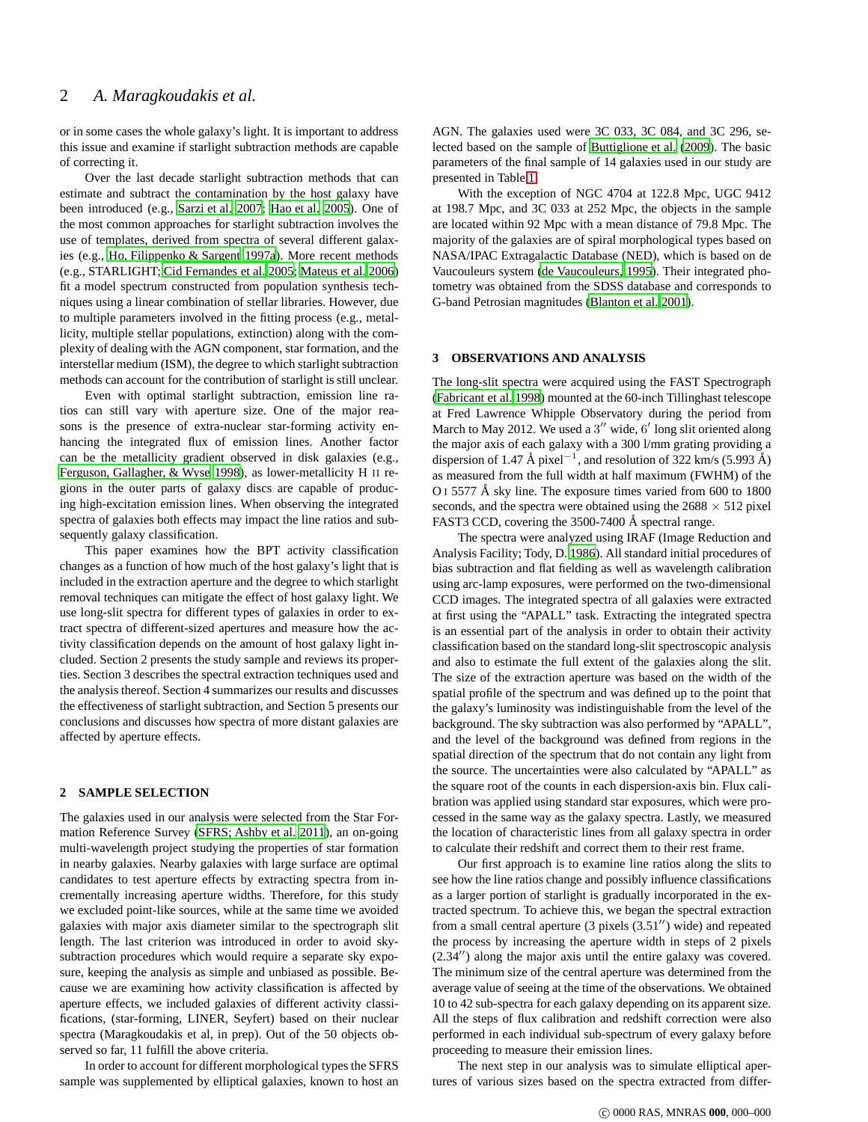or in some cases the whole galaxy's light. It is important to address this issue and examine if starlight subtraction methods are capable of correcting it.

Over the last decade starlight subtraction methods that can estimate and subtract the contamination by the host galaxy have been introduced (e.g., [Sarzi et al. 2007](#page-15-8); [Hao et al. 2005\)](#page-15-9). One of the most common approaches for starlight subtraction involves the use of templates, derived from spectra of several different galaxies (e.g., [Ho, Filippenko & Sargent 1997a\)](#page-15-10). More recent methods (e.g., STARLIGHT; [Cid Fernandes et al. 2005](#page-15-11); [Mateus et al. 2006](#page-15-12)) fit a model spectrum constructed from population synthesis techniques using a linear combination of stellar libraries. However, due to multiple parameters involved in the fitting process (e.g., metallicity, multiple stellar populations, extinction) along with the complexity of dealing with the AGN component, star formation, and the interstellar medium (ISM), the degree to which starlight subtraction methods can account for the contribution of starlight is still unclear.

Even with optimal starlight subtraction, emission line ratios can still vary with aperture size. One of the major reasons is the presence of extra-nuclear star-forming activity enhancing the integrated flux of emission lines. Another factor can be the metallicity gradient observed in disk galaxies (e.g., [Ferguson, Gallagher, & Wyse 1998](#page-15-13)), as lower-metallicity H II regions in the outer parts of galaxy discs are capable of producing high-excitation emission lines. When observing the integrated spectra of galaxies both effects may impact the line ratios and subsequently galaxy classification.

This paper examines how the BPT activity classification changes as a function of how much of the host galaxy's light that is included in the extraction aperture and the degree to which starlight removal techniques can mitigate the effect of host galaxy light. We use long-slit spectra for different types of galaxies in order to extract spectra of different-sized apertures and measure how the activity classification depends on the amount of host galaxy light included. Section 2 presents the study sample and reviews its properties. Section 3 describes the spectral extraction techniques used and the analysis thereof. Section 4 summarizes our results and discusses the effectiveness of starlight subtraction, and Section 5 presents our conclusions and discusses how spectra of more distant galaxies are affected by aperture effects.

## **2 SAMPLE SELECTION**

The galaxies used in our analysis were selected from the Star Formation Reference Survey [\(SFRS; Ashby et al. 2011](#page-15-14)), an on-going multi-wavelength project studying the properties of star formation in nearby galaxies. Nearby galaxies with large surface are optimal candidates to test aperture effects by extracting spectra from incrementally increasing aperture widths. Therefore, for this study we excluded point-like sources, while at the same time we avoided galaxies with major axis diameter similar to the spectrograph slit length. The last criterion was introduced in order to avoid skysubtraction procedures which would require a separate sky exposure, keeping the analysis as simple and unbiased as possible. Because we are examining how activity classification is affected by aperture effects, we included galaxies of different activity classifications, (star-forming, LINER, Seyfert) based on their nuclear spectra (Maragkoudakis et al, in prep). Out of the 50 objects observed so far, 11 fulfill the above criteria.

In order to account for different morphological types the SFRS sample was supplemented by elliptical galaxies, known to host an AGN. The galaxies used were 3C 033, 3C 084, and 3C 296, selected based on the sample of [Buttiglione et al. \(2009\)](#page-15-15). The basic parameters of the final sample of 14 galaxies used in our study are presented in Table [1.](#page-2-0)

With the exception of NGC 4704 at 122.8 Mpc, UGC 9412 at 198.7 Mpc, and 3C 033 at 252 Mpc, the objects in the sample are located within 92 Mpc with a mean distance of 79.8 Mpc. The majority of the galaxies are of spiral morphological types based on NASA/IPAC Extragalactic Database (NED), which is based on de Vaucouleurs system [\(de Vaucouleurs, 1995\)](#page-15-16). Their integrated photometry was obtained from the SDSS database and corresponds to G-band Petrosian magnitudes [\(Blanton et al. 2001\)](#page-15-17).

#### **3 OBSERVATIONS AND ANALYSIS**

The long-slit spectra were acquired using the FAST Spectrograph [\(Fabricant et al. 1998](#page-15-18)) mounted at the 60-inch Tillinghast telescope at Fred Lawrence Whipple Observatory during the period from March to May 2012. We used a 3" wide, 6' long slit oriented along the major axis of each galaxy with a 300 l/mm grating providing a dispersion of 1.47 Å pixel<sup>-1</sup>, and resolution of 322 km/s (5.993 Å) as measured from the full width at half maximum (FWHM) of the O I 5577 Å sky line. The exposure times varied from 600 to 1800 seconds, and the spectra were obtained using the  $2688 \times 512$  pixel FAST3 CCD, covering the 3500-7400 Å spectral range.

The spectra were analyzed using IRAF (Image Reduction and Analysis Facility; Tody, D. [1986](#page-15-19)). All standard initial procedures of bias subtraction and flat fielding as well as wavelength calibration using arc-lamp exposures, were performed on the two-dimensional CCD images. The integrated spectra of all galaxies were extracted at first using the "APALL" task. Extracting the integrated spectra is an essential part of the analysis in order to obtain their activity classification based on the standard long-slit spectroscopic analysis and also to estimate the full extent of the galaxies along the slit. The size of the extraction aperture was based on the width of the spatial profile of the spectrum and was defined up to the point that the galaxy's luminosity was indistinguishable from the level of the background. The sky subtraction was also performed by "APALL", and the level of the background was defined from regions in the spatial direction of the spectrum that do not contain any light from the source. The uncertainties were also calculated by "APALL" as the square root of the counts in each dispersion-axis bin. Flux calibration was applied using standard star exposures, which were processed in the same way as the galaxy spectra. Lastly, we measured the location of characteristic lines from all galaxy spectra in order to calculate their redshift and correct them to their rest frame.

Our first approach is to examine line ratios along the slits to see how the line ratios change and possibly influence classifications as a larger portion of starlight is gradually incorporated in the extracted spectrum. To achieve this, we began the spectral extraction from a small central aperture (3 pixels (3.51′′) wide) and repeated the process by increasing the aperture width in steps of 2 pixels (2.34′′) along the major axis until the entire galaxy was covered. The minimum size of the central aperture was determined from the average value of seeing at the time of the observations. We obtained 10 to 42 sub-spectra for each galaxy depending on its apparent size. All the steps of flux calibration and redshift correction were also performed in each individual sub-spectrum of every galaxy before proceeding to measure their emission lines.

The next step in our analysis was to simulate elliptical apertures of various sizes based on the spectra extracted from differ-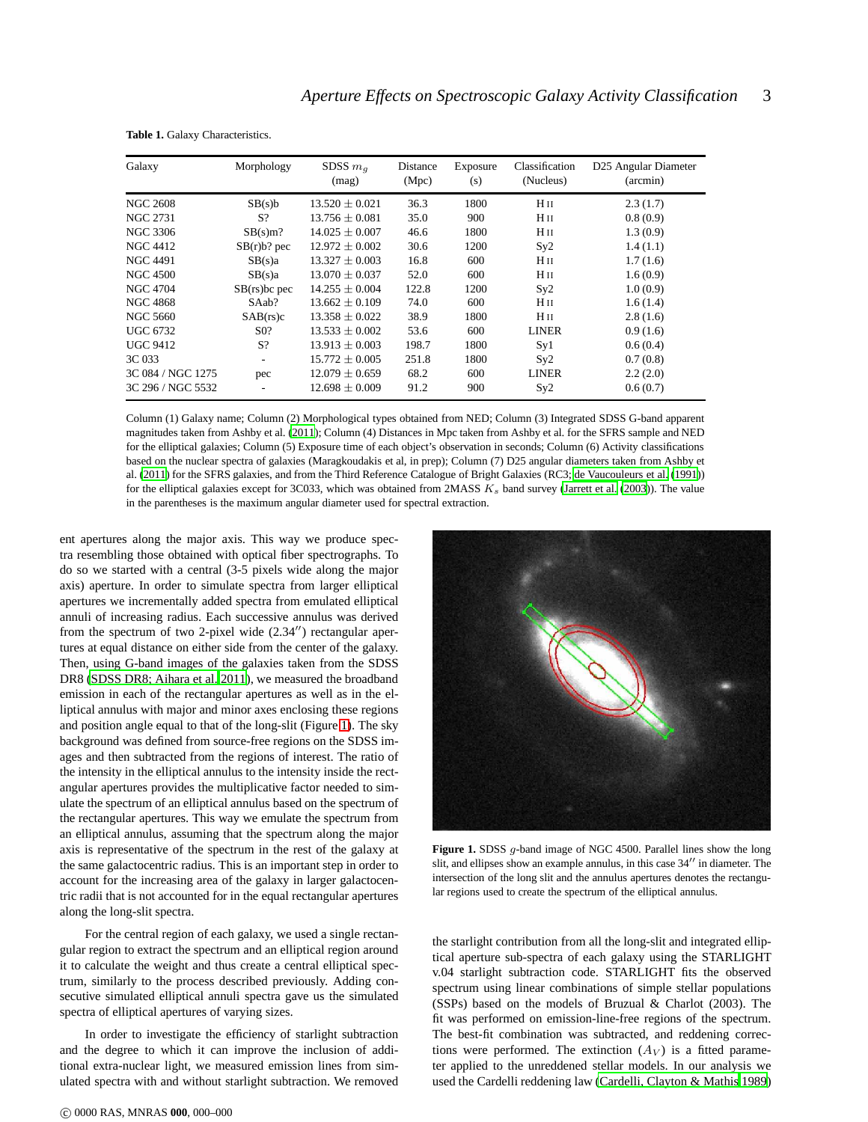| Galaxy            | Morphology       | SDSS $m_q$<br>(mag) | Distance<br>(Mpc) | Exposure<br>(s) | Classification<br>(Nucleus) | D25 Angular Diameter<br>(arcmin) |
|-------------------|------------------|---------------------|-------------------|-----------------|-----------------------------|----------------------------------|
| <b>NGC 2608</b>   | SB(s)b           | $13.520 \pm 0.021$  | 36.3              | 1800            | Hн                          | 2.3(1.7)                         |
| NGC 2731          | S?               | $13.756 + 0.081$    | 35.0              | 900             | H II                        | 0.8(0.9)                         |
| <b>NGC 3306</b>   | SB(s)m?          | $14.025 \pm 0.007$  | 46.6              | 1800            | H <sub>II</sub>             | 1.3(0.9)                         |
| <b>NGC 4412</b>   | $SB(r)b$ ? pec   | $12.972 \pm 0.002$  | 30.6              | 1200            | Sy2                         | 1.4(1.1)                         |
| <b>NGC 4491</b>   | SB(s)a           | $13.327 \pm 0.003$  | 16.8              | 600             | Hн                          | 1.7(1.6)                         |
| <b>NGC 4500</b>   | SB(s)a           | $13.070 \pm 0.037$  | 52.0              | 600             | H II                        | 1.6(0.9)                         |
| <b>NGC 4704</b>   | $SB(rs)$ bc pec  | $14.255 + 0.004$    | 122.8             | 1200            | Sy2                         | 1.0(0.9)                         |
| <b>NGC 4868</b>   | SAab?            | $13.662 \pm 0.109$  | 74.0              | 600             | Hн                          | 1.6(1.4)                         |
| <b>NGC 5660</b>   | SAB(rs)c         | $13.358 + 0.022$    | 38.9              | 1800            | H II                        | 2.8(1.6)                         |
| <b>UGC 6732</b>   | S <sub>0</sub> ? | $13.533 \pm 0.002$  | 53.6              | 600             | <b>LINER</b>                | 0.9(1.6)                         |
| <b>UGC 9412</b>   | S?               | $13.913 \pm 0.003$  | 198.7             | 1800            | Syl                         | 0.6(0.4)                         |
| 3C 033            |                  | $15.772 + 0.005$    | 251.8             | 1800            | Sy2                         | 0.7(0.8)                         |
| 3C 084 / NGC 1275 | pec              | $12.079 \pm 0.659$  | 68.2              | 600             | <b>LINER</b>                | 2.2(2.0)                         |
| 3C 296 / NGC 5532 |                  | $12.698 \pm 0.009$  | 91.2              | 900             | Sy2                         | 0.6(0.7)                         |

<span id="page-2-0"></span>**Table 1.** Galaxy Characteristics.

Column (1) Galaxy name; Column (2) Morphological types obtained from NED; Column (3) Integrated SDSS G-band apparent magnitudes taken from Ashby et al. [\(2011](#page-15-14)); Column (4) Distances in Mpc taken from Ashby et al. for the SFRS sample and NED for the elliptical galaxies; Column (5) Exposure time of each object's observation in seconds; Column (6) Activity classifications based on the nuclear spectra of galaxies (Maragkoudakis et al, in prep); Column (7) D25 angular diameters taken from Ashby et al. [\(2011](#page-15-14)) for the SFRS galaxies, and from the Third Reference Catalogue of Bright Galaxies (RC3; [de Vaucouleurs et al. \(1991\)](#page-15-20)) for the elliptical galaxies except for 3C033, which was obtained from 2MASS  $K_s$  band survey [\(Jarrett et al. \(2003](#page-15-21))). The value in the parentheses is the maximum angular diameter used for spectral extraction.

ent apertures along the major axis. This way we produce spectra resembling those obtained with optical fiber spectrographs. To do so we started with a central (3-5 pixels wide along the major axis) aperture. In order to simulate spectra from larger elliptical apertures we incrementally added spectra from emulated elliptical annuli of increasing radius. Each successive annulus was derived from the spectrum of two 2-pixel wide (2.34′′) rectangular apertures at equal distance on either side from the center of the galaxy. Then, using G-band images of the galaxies taken from the SDSS DR8 [\(SDSS DR8; Aihara et al. 2011\)](#page-15-22), we measured the broadband emission in each of the rectangular apertures as well as in the elliptical annulus with major and minor axes enclosing these regions and position angle equal to that of the long-slit (Figure [1\)](#page-2-1). The sky background was defined from source-free regions on the SDSS images and then subtracted from the regions of interest. The ratio of the intensity in the elliptical annulus to the intensity inside the rectangular apertures provides the multiplicative factor needed to simulate the spectrum of an elliptical annulus based on the spectrum of the rectangular apertures. This way we emulate the spectrum from an elliptical annulus, assuming that the spectrum along the major axis is representative of the spectrum in the rest of the galaxy at the same galactocentric radius. This is an important step in order to account for the increasing area of the galaxy in larger galactocentric radii that is not accounted for in the equal rectangular apertures along the long-slit spectra.

For the central region of each galaxy, we used a single rectangular region to extract the spectrum and an elliptical region around it to calculate the weight and thus create a central elliptical spectrum, similarly to the process described previously. Adding consecutive simulated elliptical annuli spectra gave us the simulated spectra of elliptical apertures of varying sizes.

In order to investigate the efficiency of starlight subtraction and the degree to which it can improve the inclusion of additional extra-nuclear light, we measured emission lines from simulated spectra with and without starlight subtraction. We removed



**Figure 1.** SDSS *q*-band image of NGC 4500. Parallel lines show the long slit, and ellipses show an example annulus, in this case 34′′ in diameter. The intersection of the long slit and the annulus apertures denotes the rectangular regions used to create the spectrum of the elliptical annulus.

<span id="page-2-1"></span>the starlight contribution from all the long-slit and integrated elliptical aperture sub-spectra of each galaxy using the STARLIGHT v.04 starlight subtraction code. STARLIGHT fits the observed spectrum using linear combinations of simple stellar populations (SSPs) based on the models of Bruzual & Charlot (2003). The fit was performed on emission-line-free regions of the spectrum. The best-fit combination was subtracted, and reddening corrections were performed. The extinction  $(A_V)$  is a fitted parameter applied to the unreddened stellar models. In our analysis we used the Cardelli reddening law [\(Cardelli, Clayton & Mathis](#page-15-23) [1989](#page-15-23))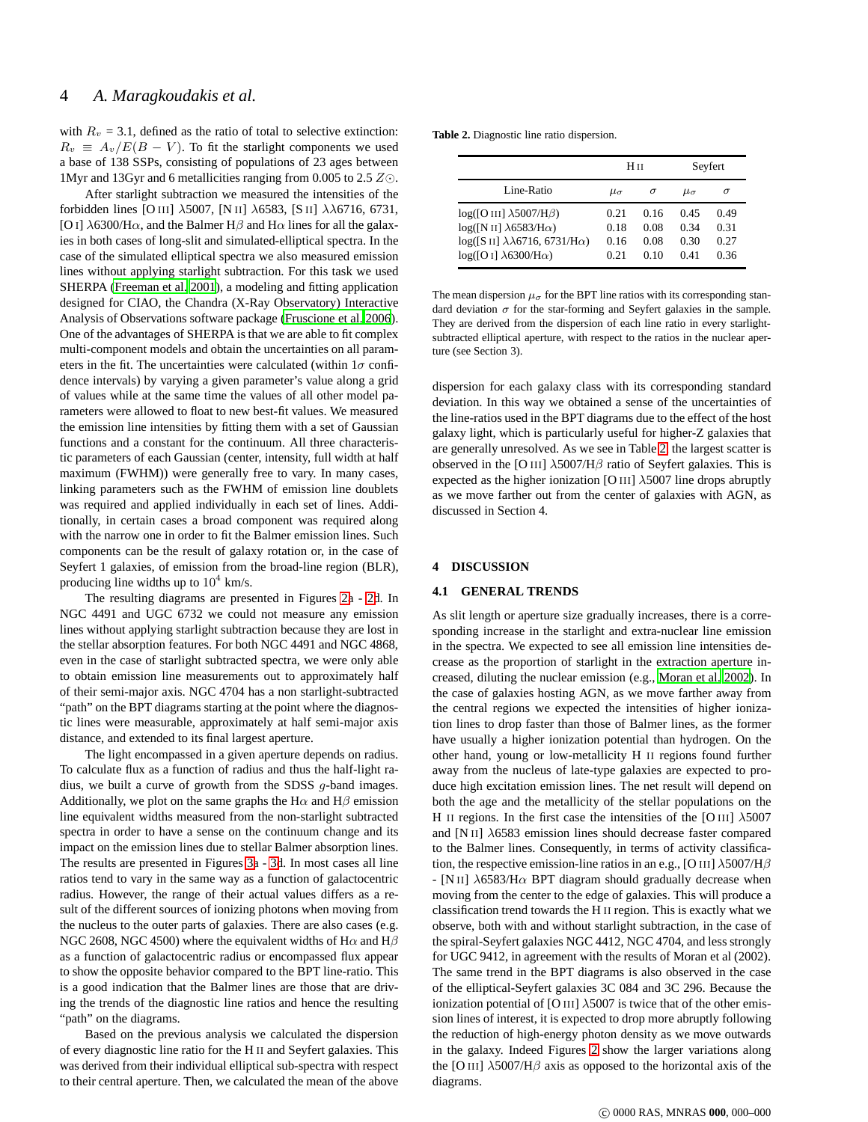# 4 *A. Maragkoudakis et al.*

with  $R_v = 3.1$ , defined as the ratio of total to selective extinction:  $R_v \equiv A_v/E(B-V)$ . To fit the starlight components we used a base of 138 SSPs, consisting of populations of 23 ages between 1Myr and 13Gyr and 6 metallicities ranging from 0.005 to 2.5 Z⊙.

After starlight subtraction we measured the intensities of the forbidden lines [O III] λ5007, [N II] λ6583, [S II] λλ6716, 6731, [O I]  $\lambda$ 6300/H $\alpha$ , and the Balmer H $\beta$  and H $\alpha$  lines for all the galaxies in both cases of long-slit and simulated-elliptical spectra. In the case of the simulated elliptical spectra we also measured emission lines without applying starlight subtraction. For this task we used SHERPA [\(Freeman et al. 2001](#page-15-24)), a modeling and fitting application designed for CIAO, the Chandra (X-Ray Observatory) Interactive Analysis of Observations software package [\(Fruscione et al. 2006](#page-15-25)). One of the advantages of SHERPA is that we are able to fit complex multi-component models and obtain the uncertainties on all parameters in the fit. The uncertainties were calculated (within  $1\sigma$  confidence intervals) by varying a given parameter's value along a grid of values while at the same time the values of all other model parameters were allowed to float to new best-fit values. We measured the emission line intensities by fitting them with a set of Gaussian functions and a constant for the continuum. All three characteristic parameters of each Gaussian (center, intensity, full width at half maximum (FWHM)) were generally free to vary. In many cases, linking parameters such as the FWHM of emission line doublets was required and applied individually in each set of lines. Additionally, in certain cases a broad component was required along with the narrow one in order to fit the Balmer emission lines. Such components can be the result of galaxy rotation or, in the case of Seyfert 1 galaxies, of emission from the broad-line region (BLR), producing line widths up to  $10^4$  km/s.

The resulting diagrams are presented in Figures [2a](#page-7-0) - [2d](#page-7-0). In NGC 4491 and UGC 6732 we could not measure any emission lines without applying starlight subtraction because they are lost in the stellar absorption features. For both NGC 4491 and NGC 4868, even in the case of starlight subtracted spectra, we were only able to obtain emission line measurements out to approximately half of their semi-major axis. NGC 4704 has a non starlight-subtracted "path" on the BPT diagrams starting at the point where the diagnostic lines were measurable, approximately at half semi-major axis distance, and extended to its final largest aperture.

The light encompassed in a given aperture depends on radius. To calculate flux as a function of radius and thus the half-light radius, we built a curve of growth from the SDSS g-band images. Additionally, we plot on the same graphs the H $\alpha$  and H $\beta$  emission line equivalent widths measured from the non-starlight subtracted spectra in order to have a sense on the continuum change and its impact on the emission lines due to stellar Balmer absorption lines. The results are presented in Figures [3a](#page-11-0) - [3d](#page-11-0). In most cases all line ratios tend to vary in the same way as a function of galactocentric radius. However, the range of their actual values differs as a result of the different sources of ionizing photons when moving from the nucleus to the outer parts of galaxies. There are also cases (e.g. NGC 2608, NGC 4500) where the equivalent widths of H $\alpha$  and H $\beta$ as a function of galactocentric radius or encompassed flux appear to show the opposite behavior compared to the BPT line-ratio. This is a good indication that the Balmer lines are those that are driving the trends of the diagnostic line ratios and hence the resulting "path" on the diagrams.

Based on the previous analysis we calculated the dispersion of every diagnostic line ratio for the H II and Seyfert galaxies. This was derived from their individual elliptical sub-spectra with respect to their central aperture. Then, we calculated the mean of the above

| <b>Table 2.</b> Diagnostic line ratio dispersion. |  |  |
|---------------------------------------------------|--|--|
|---------------------------------------------------|--|--|

<span id="page-3-0"></span>

|                                                                                                                                                                  | Hи                           |                              | Seyfert                      |                              |
|------------------------------------------------------------------------------------------------------------------------------------------------------------------|------------------------------|------------------------------|------------------------------|------------------------------|
| Line-Ratio                                                                                                                                                       | $\mu_{\sigma}$               | $\sigma$                     | $\mu_{\sigma}$               | $\sigma$                     |
| $log([O III] \lambda 5007/H\beta)$<br>$log([N II] \lambda 6583/H\alpha)$<br>$log([S II] \lambda\lambda 6716, 6731/H\alpha)$<br>$log([O I] \lambda 6300/H\alpha)$ | 0.21<br>0.18<br>0.16<br>0.21 | 0.16<br>0.08<br>0.08<br>0.10 | 0.45<br>0.34<br>0.30<br>0.41 | 0.49<br>0.31<br>0.27<br>0.36 |

The mean dispersion  $\mu_{\sigma}$  for the BPT line ratios with its corresponding standard deviation  $\sigma$  for the star-forming and Seyfert galaxies in the sample. They are derived from the dispersion of each line ratio in every starlightsubtracted elliptical aperture, with respect to the ratios in the nuclear aperture (see Section 3).

dispersion for each galaxy class with its corresponding standard deviation. In this way we obtained a sense of the uncertainties of the line-ratios used in the BPT diagrams due to the effect of the host galaxy light, which is particularly useful for higher-Z galaxies that are generally unresolved. As we see in Table [2,](#page-3-0) the largest scatter is observed in the [O III]  $\lambda$ 5007/H $\beta$  ratio of Seyfert galaxies. This is expected as the higher ionization [O III]  $\lambda$ 5007 line drops abruptly as we move farther out from the center of galaxies with AGN, as discussed in Section 4.

#### **4 DISCUSSION**

#### **4.1 GENERAL TRENDS**

As slit length or aperture size gradually increases, there is a corresponding increase in the starlight and extra-nuclear line emission in the spectra. We expected to see all emission line intensities decrease as the proportion of starlight in the extraction aperture increased, diluting the nuclear emission (e.g., [Moran et al. 2002\)](#page-15-7). In the case of galaxies hosting AGN, as we move farther away from the central regions we expected the intensities of higher ionization lines to drop faster than those of Balmer lines, as the former have usually a higher ionization potential than hydrogen. On the other hand, young or low-metallicity H II regions found further away from the nucleus of late-type galaxies are expected to produce high excitation emission lines. The net result will depend on both the age and the metallicity of the stellar populations on the H II regions. In the first case the intensities of the [O III]  $\lambda$ 5007 and [N II]  $\lambda$ 6583 emission lines should decrease faster compared to the Balmer lines. Consequently, in terms of activity classification, the respective emission-line ratios in an e.g., [O III]  $\lambda$ 5007/H $\beta$ - [N II]  $\lambda$ 6583/H $\alpha$  BPT diagram should gradually decrease when moving from the center to the edge of galaxies. This will produce a classification trend towards the H II region. This is exactly what we observe, both with and without starlight subtraction, in the case of the spiral-Seyfert galaxies NGC 4412, NGC 4704, and less strongly for UGC 9412, in agreement with the results of Moran et al (2002). The same trend in the BPT diagrams is also observed in the case of the elliptical-Seyfert galaxies 3C 084 and 3C 296. Because the ionization potential of [O III]  $\lambda$ 5007 is twice that of the other emission lines of interest, it is expected to drop more abruptly following the reduction of high-energy photon density as we move outwards in the galaxy. Indeed Figures [2](#page-7-0) show the larger variations along the [O III]  $\lambda$ 5007/H $\beta$  axis as opposed to the horizontal axis of the diagrams.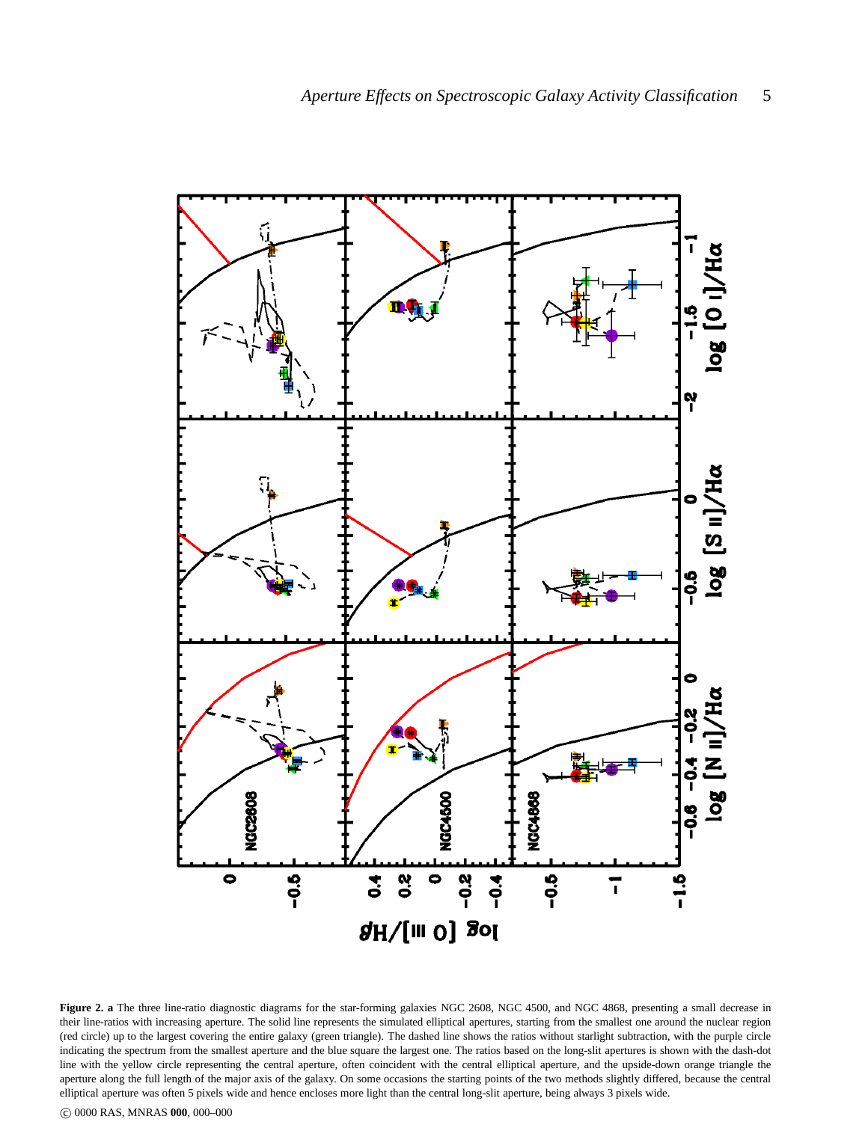

Figure 2. a The three line-ratio diagnostic diagrams for the star-forming galaxies NGC 2608, NGC 4500, and NGC 4868, presenting a small decrease in their line-ratios with increasing aperture. The solid line represents the simulated elliptical apertures, starting from the smallest one around the nuclear region (red circle) up to the largest covering the entire galaxy (green triangle). The dashed line shows the ratios without starlight subtraction, with the purple circle indicating the spectrum from the smallest aperture and the blue square the largest one. The ratios based on the long-slit apertures is shown with the dash-dot line with the yellow circle representing the central aperture, often coincident with the central elliptical aperture, and the upside-down orange triangle the aperture along the full length of the major axis of the galaxy. On some occasions the starting points of the two methods slightly differed, because the central elliptical aperture was often 5 pixels wide and hence encloses more light than the central long-slit aperture, being always 3 pixels wide.

c 0000 RAS, MNRAS **000**, 000–000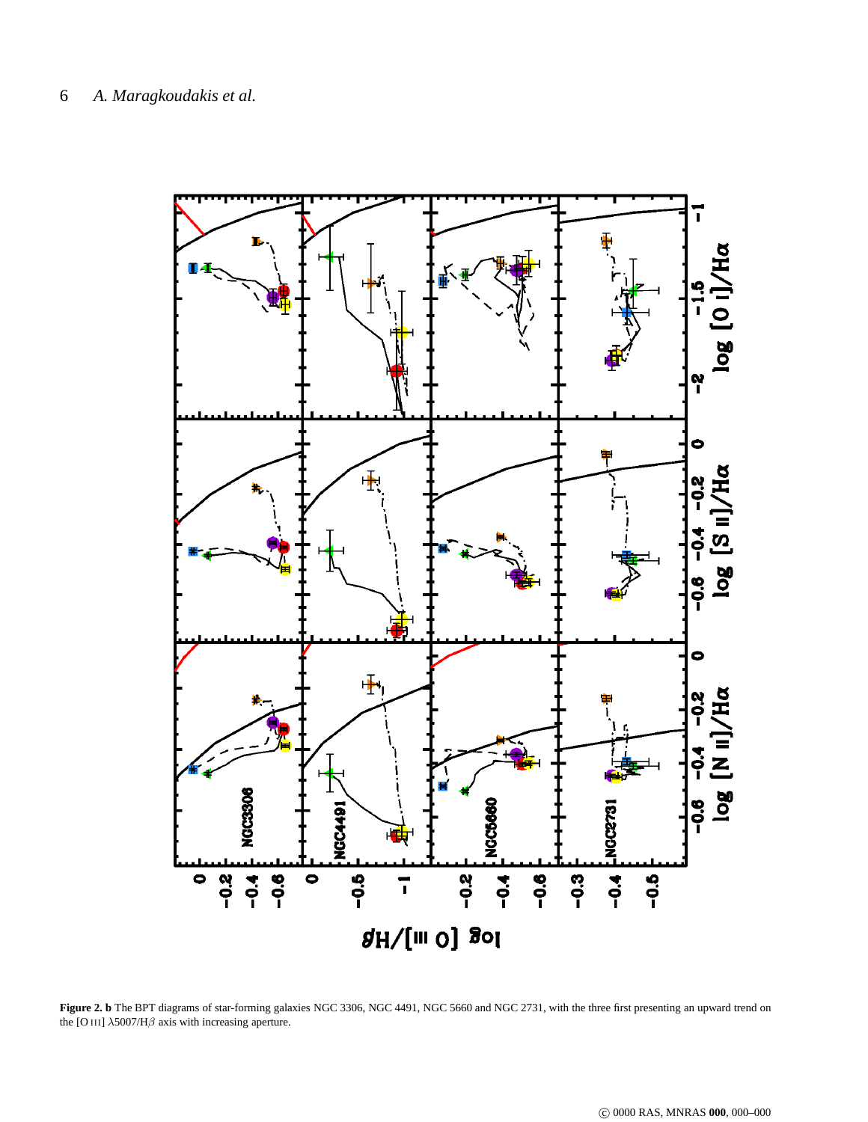

Figure 2. b The BPT diagrams of star-forming galaxies NGC 3306, NGC 4491, NGC 5660 and NGC 2731, with the three first presenting an upward trend on the [O III]  $\lambda$ 5007/H $\beta$  axis with increasing aperture.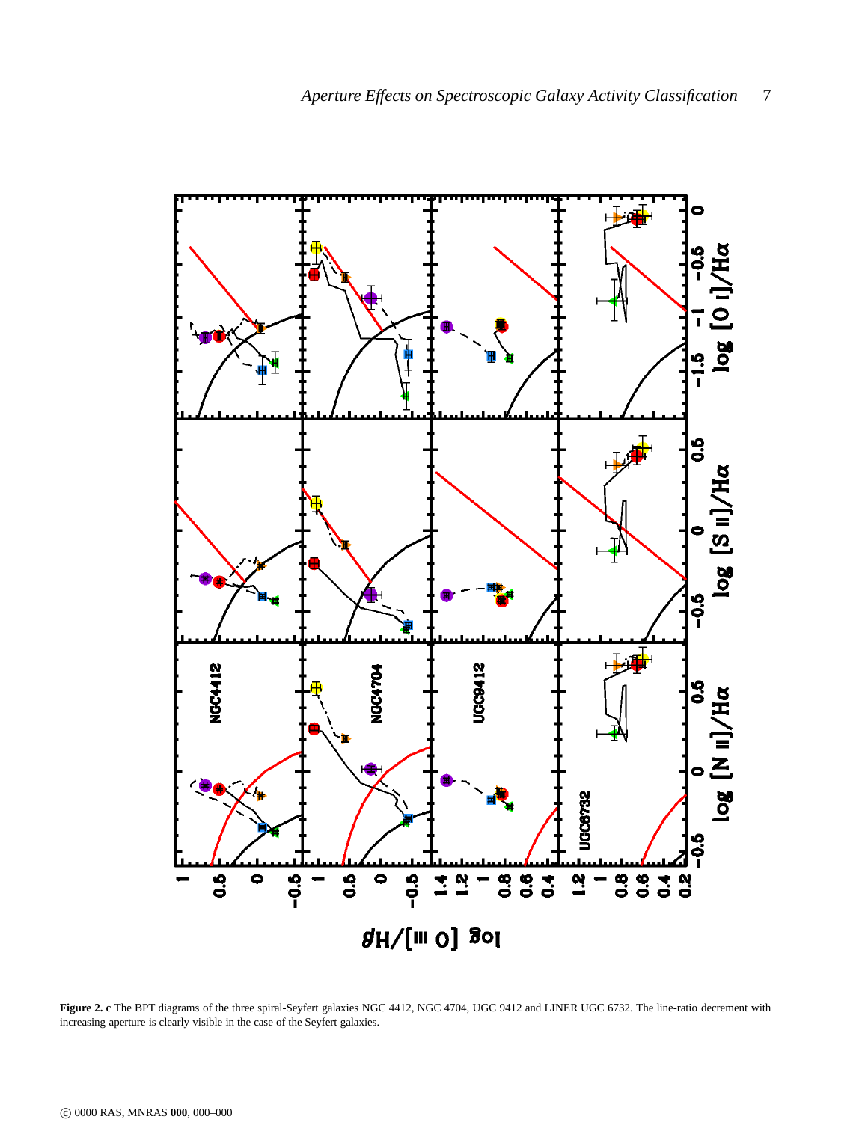

**Figure 2. c** The BPT diagrams of the three spiral-Seyfert galaxies NGC 4412, NGC 4704, UGC 9412 and LINER UGC 6732. The line-ratio decrement with increasing aperture is clearly visible in the case of the Seyfert galaxies.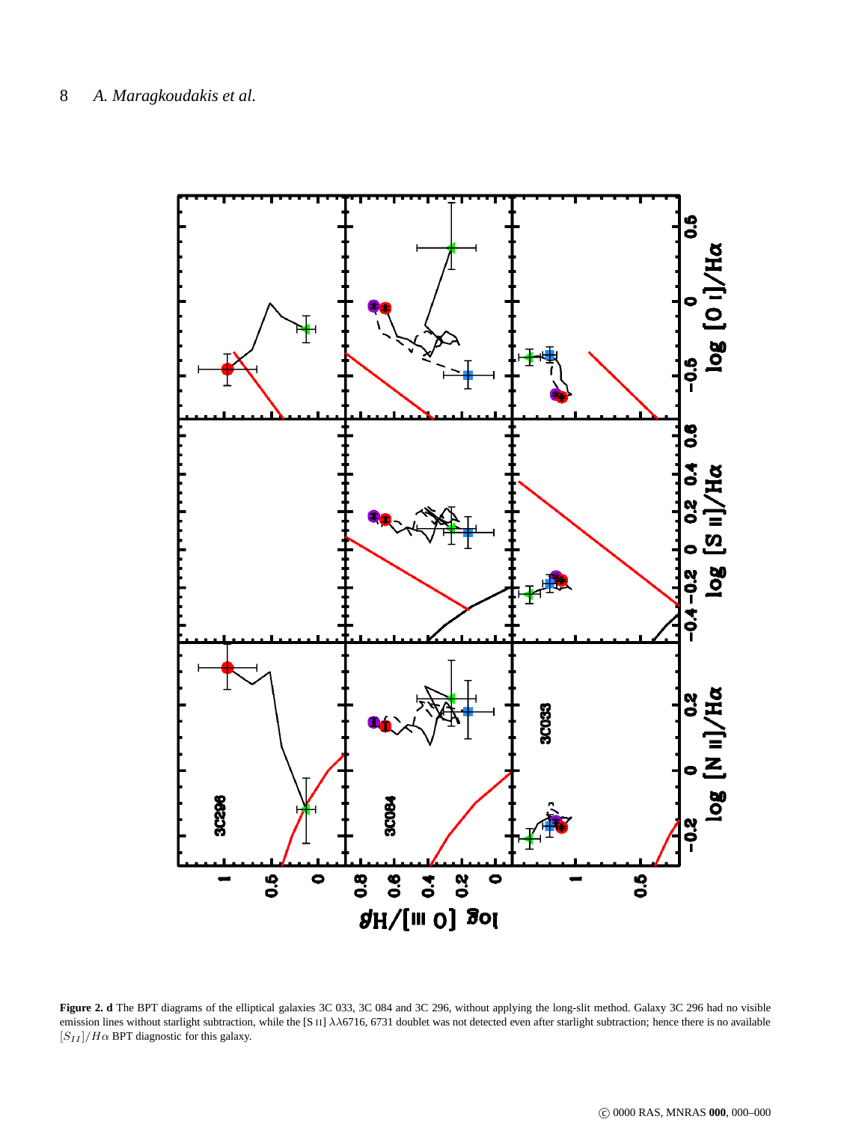

<span id="page-7-0"></span>**Figure 2. d** The BPT diagrams of the elliptical galaxies 3C 033, 3C 084 and 3C 296, without applying the long-slit method. Galaxy 3C 296 had no visible emission lines without starlight subtraction, while the [S II]  $\lambda\lambda$ 6716, 6731 doublet was not detected even after starlight subtraction; hence there is no available  $[S_{II}]/H\alpha$  BPT diagnostic for this galaxy.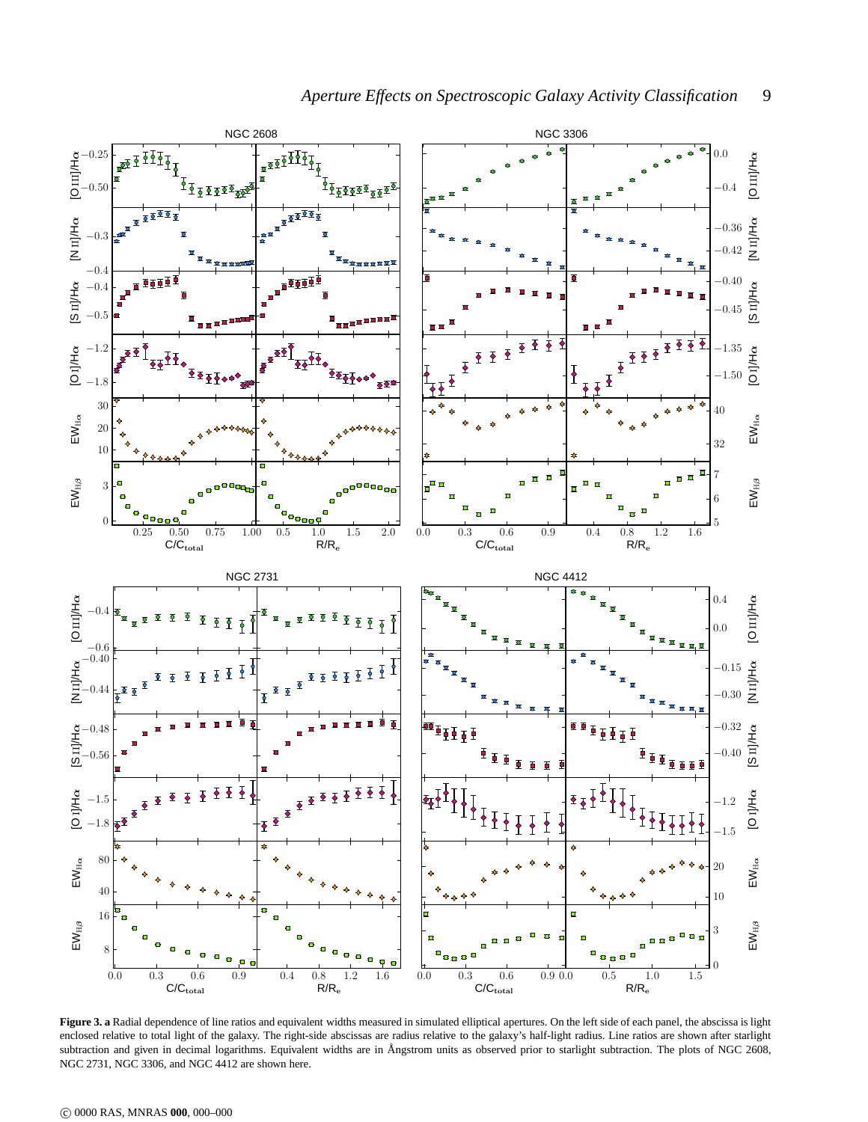

Figure 3. a Radial dependence of line ratios and equivalent widths measured in simulated elliptical apertures. On the left side of each panel, the abscissa is light enclosed relative to total light of the galaxy. The right-side abscissas are radius relative to the galaxy's half-light radius. Line ratios are shown after starlight subtraction and given in decimal logarithms. Equivalent widths are in Ångstrom units as observed prior to starlight subtraction. The plots of NGC 2608, NGC 2731, NGC 3306, and NGC 4412 are shown here.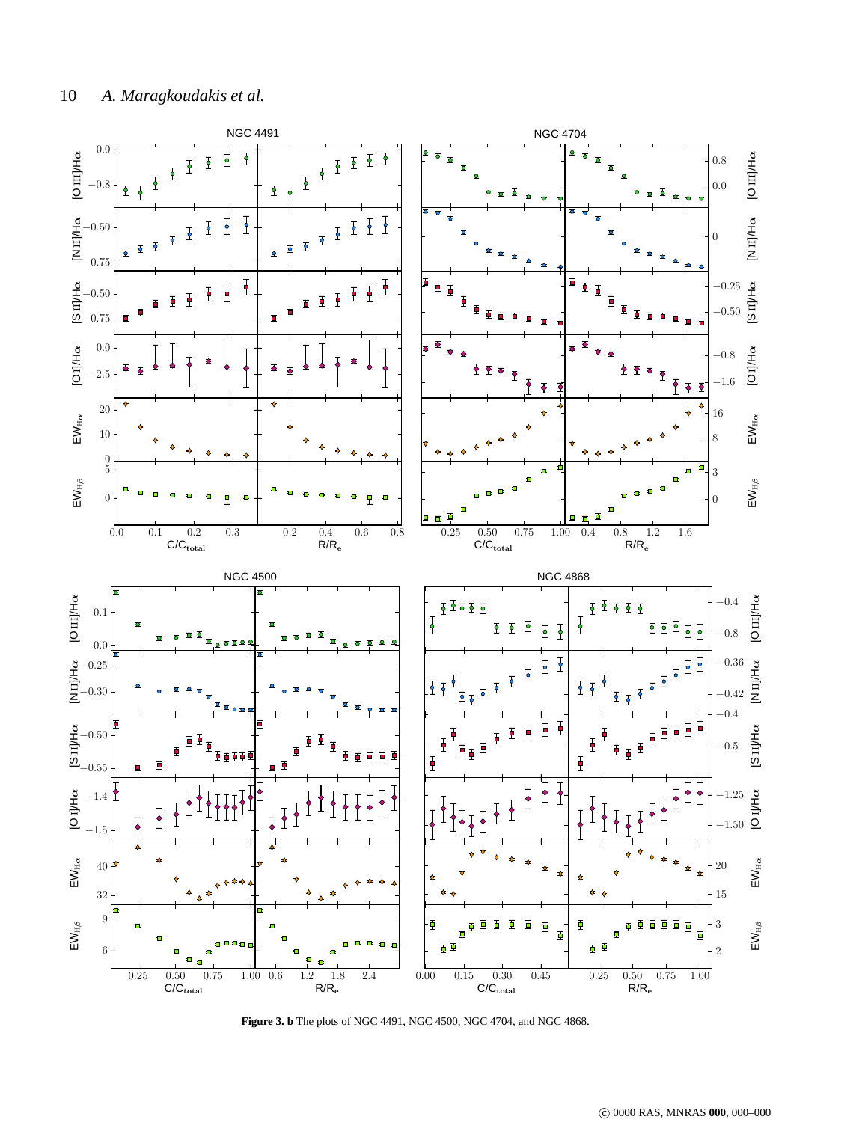

**Figure 3. b** The plots of NGC 4491, NGC 4500, NGC 4704, and NGC 4868.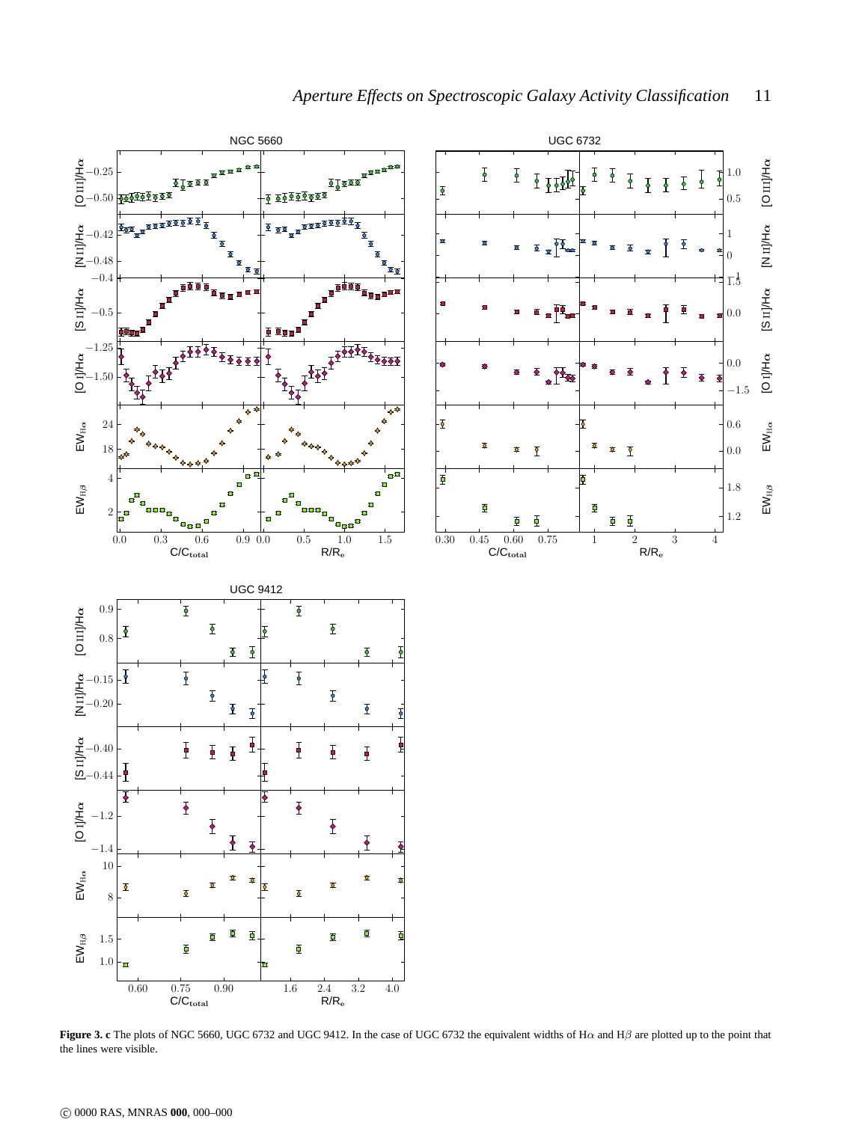

**Figure 3. c** The plots of NGC 5660, UGC 6732 and UGC 9412. In the case of UGC 6732 the equivalent widths of Hα and Hβ are plotted up to the point that the lines were visible.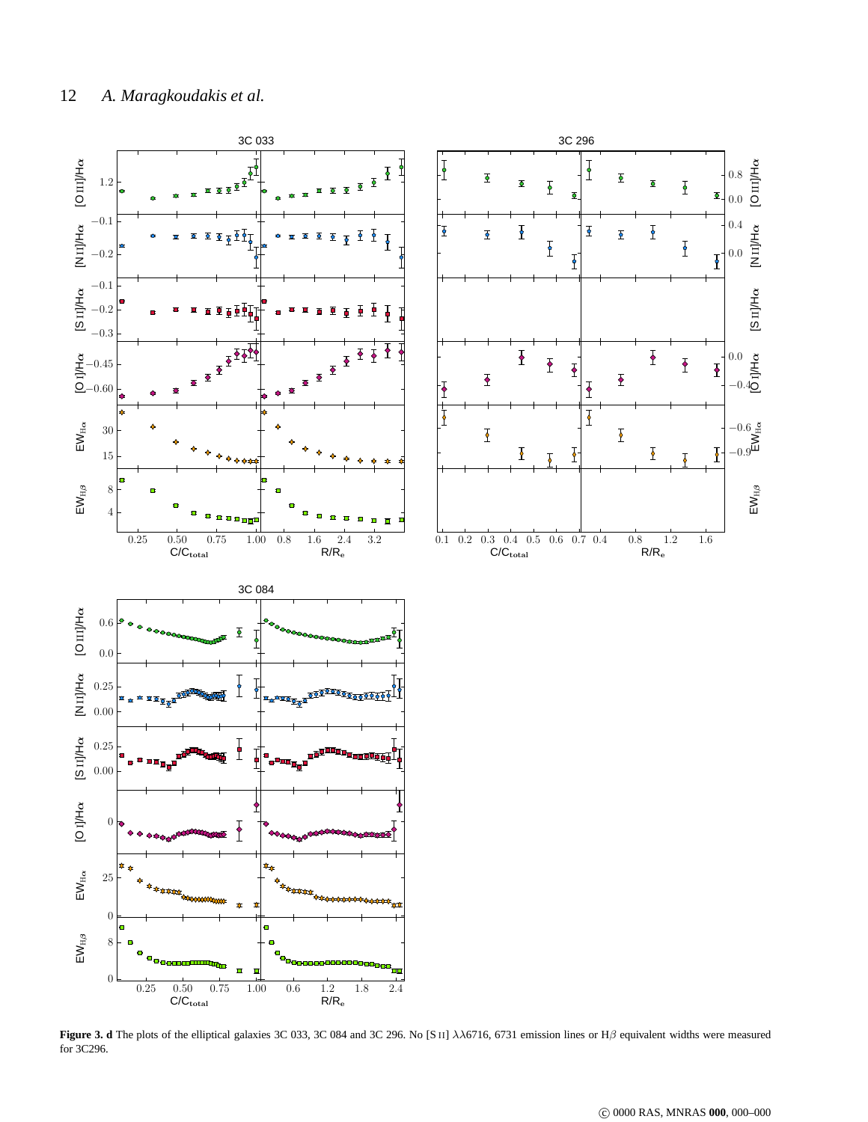

<span id="page-11-0"></span>**Figure 3. d** The plots of the elliptical galaxies 3C 033, 3C 084 and 3C 296. No [S II] λλ6716, 6731 emission lines or Hβ equivalent widths were measured for 3C296.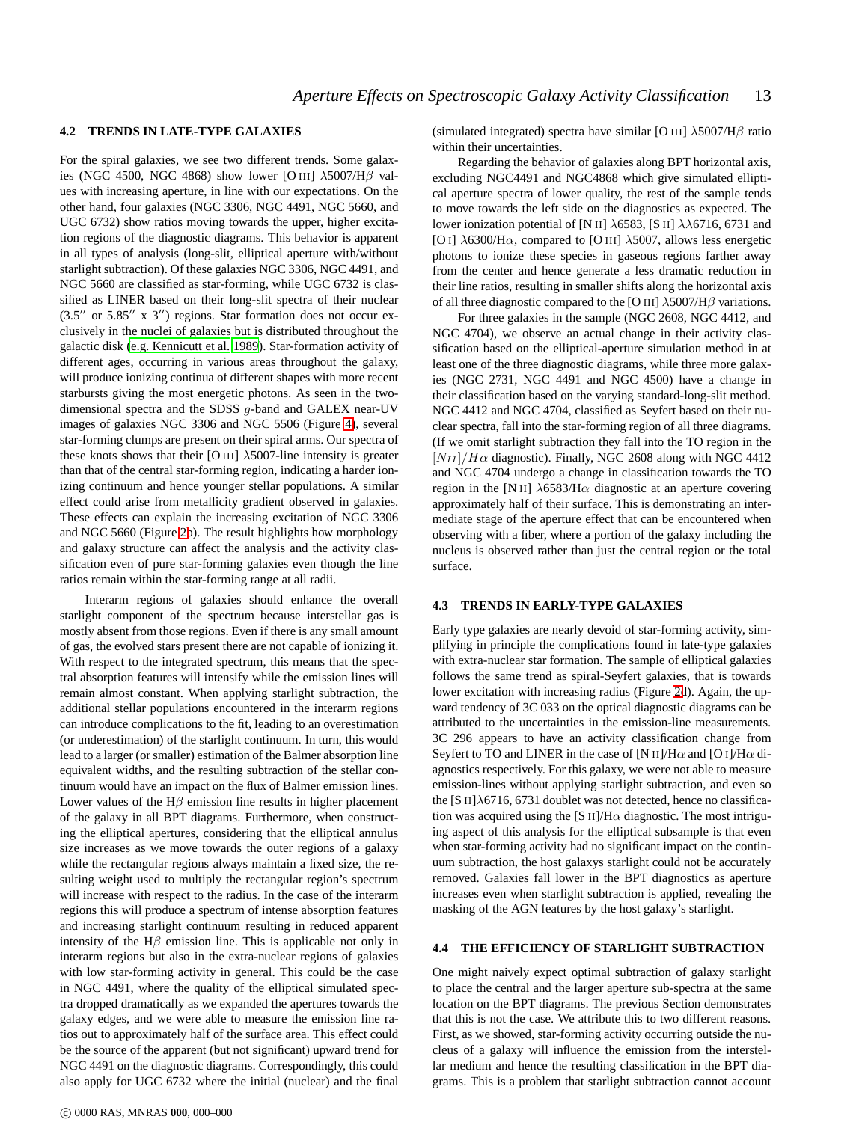# **4.2 TRENDS IN LATE-TYPE GALAXIES**

For the spiral galaxies, we see two different trends. Some galaxies (NGC 4500, NGC 4868) show lower [O III]  $\lambda$ 5007/H $\beta$  values with increasing aperture, in line with our expectations. On the other hand, four galaxies (NGC 3306, NGC 4491, NGC 5660, and UGC 6732) show ratios moving towards the upper, higher excitation regions of the diagnostic diagrams. This behavior is apparent in all types of analysis (long-slit, elliptical aperture with/without starlight subtraction). Of these galaxies NGC 3306, NGC 4491, and NGC 5660 are classified as star-forming, while UGC 6732 is classified as LINER based on their long-slit spectra of their nuclear  $(3.5''$  or  $5.85''$  x  $3'')$  regions. Star formation does not occur exclusively in the nuclei of galaxies but is distributed throughout the galactic disk [\(e.g. Kennicutt et al. 1989](#page-15-26)). Star-formation activity of different ages, occurring in various areas throughout the galaxy, will produce ionizing continua of different shapes with more recent starbursts giving the most energetic photons. As seen in the twodimensional spectra and the SDSS g-band and GALEX near-UV images of galaxies NGC 3306 and NGC 5506 (Figure [4\)](#page-13-0), several star-forming clumps are present on their spiral arms. Our spectra of these knots shows that their [O III]  $\lambda$ 5007-line intensity is greater than that of the central star-forming region, indicating a harder ionizing continuum and hence younger stellar populations. A similar effect could arise from metallicity gradient observed in galaxies. These effects can explain the increasing excitation of NGC 3306 and NGC 5660 (Figure [2b](#page-7-0)). The result highlights how morphology and galaxy structure can affect the analysis and the activity classification even of pure star-forming galaxies even though the line ratios remain within the star-forming range at all radii.

Interarm regions of galaxies should enhance the overall starlight component of the spectrum because interstellar gas is mostly absent from those regions. Even if there is any small amount of gas, the evolved stars present there are not capable of ionizing it. With respect to the integrated spectrum, this means that the spectral absorption features will intensify while the emission lines will remain almost constant. When applying starlight subtraction, the additional stellar populations encountered in the interarm regions can introduce complications to the fit, leading to an overestimation (or underestimation) of the starlight continuum. In turn, this would lead to a larger (or smaller) estimation of the Balmer absorption line equivalent widths, and the resulting subtraction of the stellar continuum would have an impact on the flux of Balmer emission lines. Lower values of the  $H\beta$  emission line results in higher placement of the galaxy in all BPT diagrams. Furthermore, when constructing the elliptical apertures, considering that the elliptical annulus size increases as we move towards the outer regions of a galaxy while the rectangular regions always maintain a fixed size, the resulting weight used to multiply the rectangular region's spectrum will increase with respect to the radius. In the case of the interarm regions this will produce a spectrum of intense absorption features and increasing starlight continuum resulting in reduced apparent intensity of the  $H\beta$  emission line. This is applicable not only in interarm regions but also in the extra-nuclear regions of galaxies with low star-forming activity in general. This could be the case in NGC 4491, where the quality of the elliptical simulated spectra dropped dramatically as we expanded the apertures towards the galaxy edges, and we were able to measure the emission line ratios out to approximately half of the surface area. This effect could be the source of the apparent (but not significant) upward trend for NGC 4491 on the diagnostic diagrams. Correspondingly, this could also apply for UGC 6732 where the initial (nuclear) and the final (simulated integrated) spectra have similar [O III]  $\lambda$ 5007/H $\beta$  ratio within their uncertainties.

Regarding the behavior of galaxies along BPT horizontal axis, excluding NGC4491 and NGC4868 which give simulated elliptical aperture spectra of lower quality, the rest of the sample tends to move towards the left side on the diagnostics as expected. The lower ionization potential of [N II]  $\lambda$ 6583, [S II]  $\lambda\lambda$ 6716, 6731 and [O I]  $\lambda$ 6300/H $\alpha$ , compared to [O III]  $\lambda$ 5007, allows less energetic photons to ionize these species in gaseous regions farther away from the center and hence generate a less dramatic reduction in their line ratios, resulting in smaller shifts along the horizontal axis of all three diagnostic compared to the [O III]  $\lambda$ 5007/H $\beta$  variations.

For three galaxies in the sample (NGC 2608, NGC 4412, and NGC 4704), we observe an actual change in their activity classification based on the elliptical-aperture simulation method in at least one of the three diagnostic diagrams, while three more galaxies (NGC 2731, NGC 4491 and NGC 4500) have a change in their classification based on the varying standard-long-slit method. NGC 4412 and NGC 4704, classified as Seyfert based on their nuclear spectra, fall into the star-forming region of all three diagrams. (If we omit starlight subtraction they fall into the TO region in the  $[N_{II}] / H \alpha$  diagnostic). Finally, NGC 2608 along with NGC 4412 and NGC 4704 undergo a change in classification towards the TO region in the [N II]  $\lambda$ 6583/H $\alpha$  diagnostic at an aperture covering approximately half of their surface. This is demonstrating an intermediate stage of the aperture effect that can be encountered when observing with a fiber, where a portion of the galaxy including the nucleus is observed rather than just the central region or the total surface.

## **4.3 TRENDS IN EARLY-TYPE GALAXIES**

Early type galaxies are nearly devoid of star-forming activity, simplifying in principle the complications found in late-type galaxies with extra-nuclear star formation. The sample of elliptical galaxies follows the same trend as spiral-Seyfert galaxies, that is towards lower excitation with increasing radius (Figure [2d](#page-7-0)). Again, the upward tendency of 3C 033 on the optical diagnostic diagrams can be attributed to the uncertainties in the emission-line measurements. 3C 296 appears to have an activity classification change from Seyfert to TO and LINER in the case of [N II]/H $\alpha$  and [O I]/H $\alpha$  diagnostics respectively. For this galaxy, we were not able to measure emission-lines without applying starlight subtraction, and even so the [S II] $\lambda$ 6716, 6731 doublet was not detected, hence no classification was acquired using the [S II]/H $\alpha$  diagnostic. The most intriguing aspect of this analysis for the elliptical subsample is that even when star-forming activity had no significant impact on the continuum subtraction, the host galaxys starlight could not be accurately removed. Galaxies fall lower in the BPT diagnostics as aperture increases even when starlight subtraction is applied, revealing the masking of the AGN features by the host galaxy's starlight.

# **4.4 THE EFFICIENCY OF STARLIGHT SUBTRACTION**

One might naively expect optimal subtraction of galaxy starlight to place the central and the larger aperture sub-spectra at the same location on the BPT diagrams. The previous Section demonstrates that this is not the case. We attribute this to two different reasons. First, as we showed, star-forming activity occurring outside the nucleus of a galaxy will influence the emission from the interstellar medium and hence the resulting classification in the BPT diagrams. This is a problem that starlight subtraction cannot account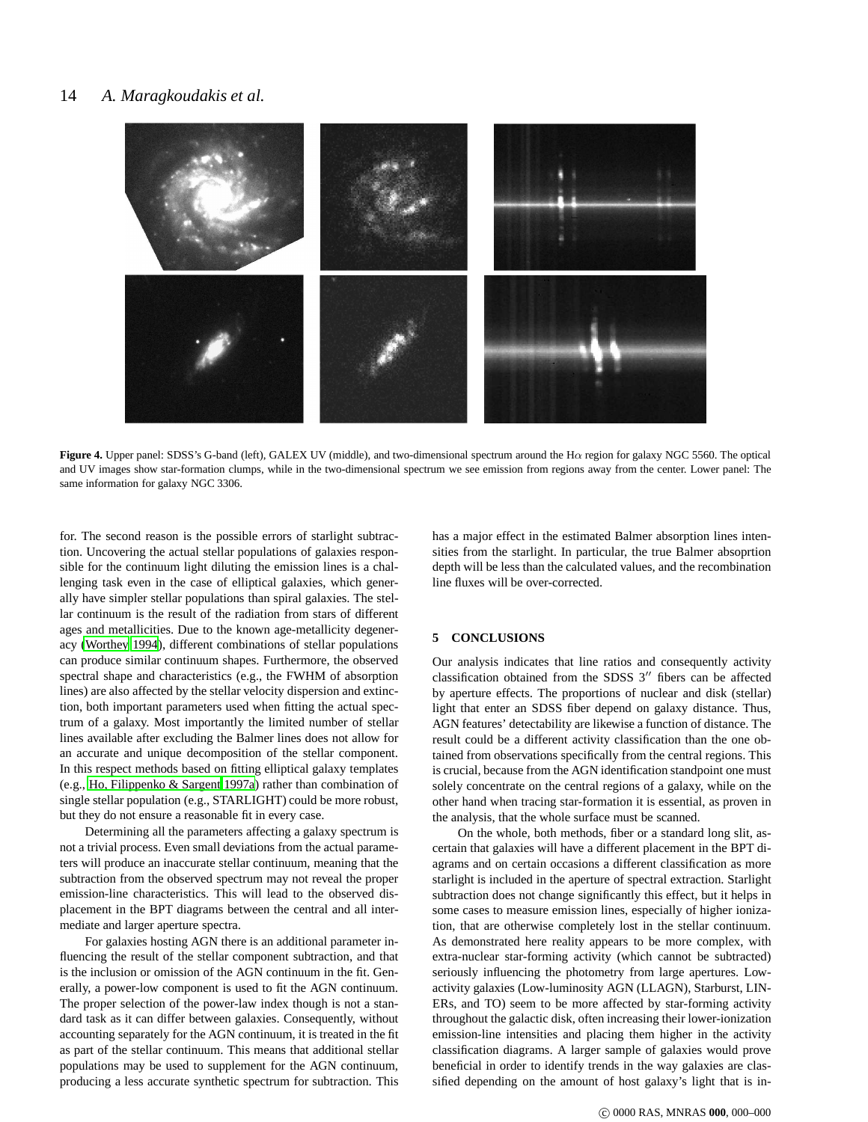# 14 *A. Maragkoudakis et al.*



**Figure 4.** Upper panel: SDSS's G-band (left), GALEX UV (middle), and two-dimensional spectrum around the Hα region for galaxy NGC 5560. The optical and UV images show star-formation clumps, while in the two-dimensional spectrum we see emission from regions away from the center. Lower panel: The same information for galaxy NGC 3306.

<span id="page-13-0"></span>for. The second reason is the possible errors of starlight subtraction. Uncovering the actual stellar populations of galaxies responsible for the continuum light diluting the emission lines is a challenging task even in the case of elliptical galaxies, which generally have simpler stellar populations than spiral galaxies. The stellar continuum is the result of the radiation from stars of different ages and metallicities. Due to the known age-metallicity degeneracy [\(Worthey 1994](#page-15-27)), different combinations of stellar populations can produce similar continuum shapes. Furthermore, the observed spectral shape and characteristics (e.g., the FWHM of absorption lines) are also affected by the stellar velocity dispersion and extinction, both important parameters used when fitting the actual spectrum of a galaxy. Most importantly the limited number of stellar lines available after excluding the Balmer lines does not allow for an accurate and unique decomposition of the stellar component. In this respect methods based on fitting elliptical galaxy templates (e.g., [Ho, Filippenko & Sargent 1997a\)](#page-15-10) rather than combination of single stellar population (e.g., STARLIGHT) could be more robust, but they do not ensure a reasonable fit in every case.

Determining all the parameters affecting a galaxy spectrum is not a trivial process. Even small deviations from the actual parameters will produce an inaccurate stellar continuum, meaning that the subtraction from the observed spectrum may not reveal the proper emission-line characteristics. This will lead to the observed displacement in the BPT diagrams between the central and all intermediate and larger aperture spectra.

For galaxies hosting AGN there is an additional parameter influencing the result of the stellar component subtraction, and that is the inclusion or omission of the AGN continuum in the fit. Generally, a power-low component is used to fit the AGN continuum. The proper selection of the power-law index though is not a standard task as it can differ between galaxies. Consequently, without accounting separately for the AGN continuum, it is treated in the fit as part of the stellar continuum. This means that additional stellar populations may be used to supplement for the AGN continuum, producing a less accurate synthetic spectrum for subtraction. This

has a major effect in the estimated Balmer absorption lines intensities from the starlight. In particular, the true Balmer absoprtion depth will be less than the calculated values, and the recombination line fluxes will be over-corrected.

## **5 CONCLUSIONS**

Our analysis indicates that line ratios and consequently activity classification obtained from the SDSS 3′′ fibers can be affected by aperture effects. The proportions of nuclear and disk (stellar) light that enter an SDSS fiber depend on galaxy distance. Thus, AGN features' detectability are likewise a function of distance. The result could be a different activity classification than the one obtained from observations specifically from the central regions. This is crucial, because from the AGN identification standpoint one must solely concentrate on the central regions of a galaxy, while on the other hand when tracing star-formation it is essential, as proven in the analysis, that the whole surface must be scanned.

On the whole, both methods, fiber or a standard long slit, ascertain that galaxies will have a different placement in the BPT diagrams and on certain occasions a different classification as more starlight is included in the aperture of spectral extraction. Starlight subtraction does not change significantly this effect, but it helps in some cases to measure emission lines, especially of higher ionization, that are otherwise completely lost in the stellar continuum. As demonstrated here reality appears to be more complex, with extra-nuclear star-forming activity (which cannot be subtracted) seriously influencing the photometry from large apertures. Lowactivity galaxies (Low-luminosity AGN (LLAGN), Starburst, LIN-ERs, and TO) seem to be more affected by star-forming activity throughout the galactic disk, often increasing their lower-ionization emission-line intensities and placing them higher in the activity classification diagrams. A larger sample of galaxies would prove beneficial in order to identify trends in the way galaxies are classified depending on the amount of host galaxy's light that is in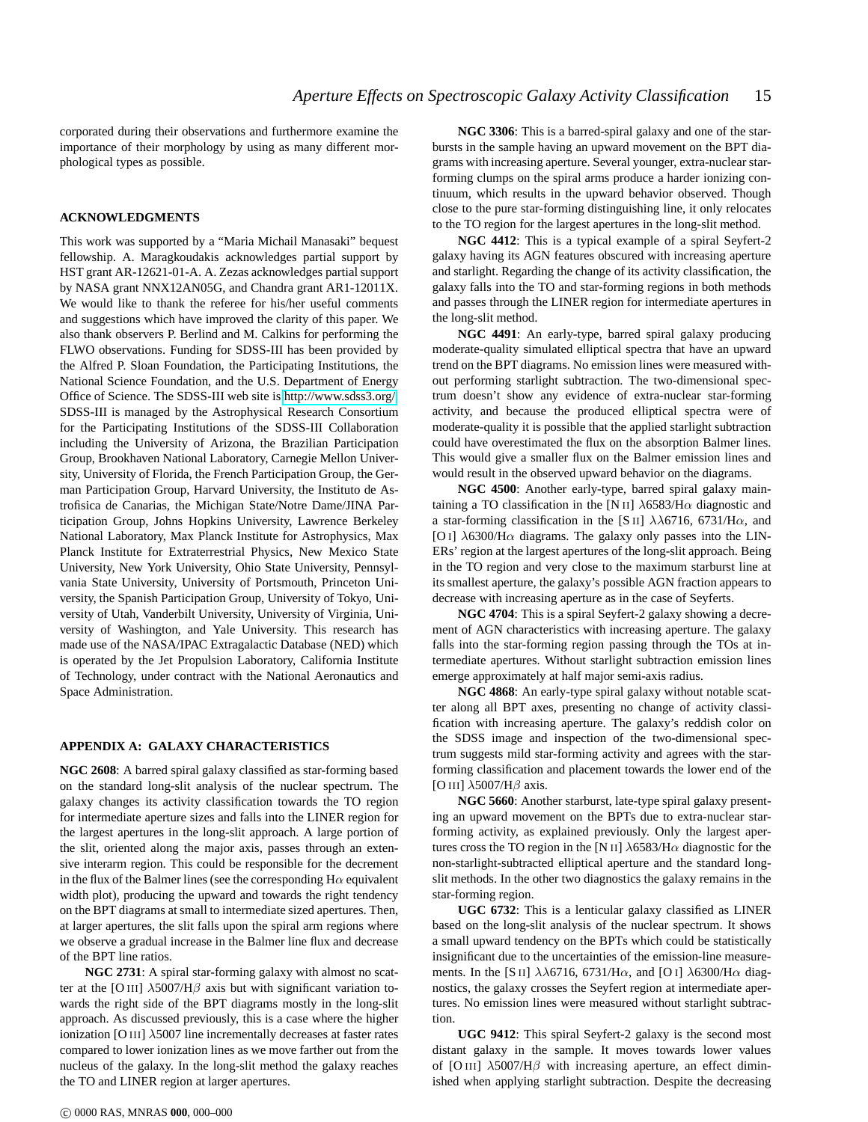corporated during their observations and furthermore examine the importance of their morphology by using as many different morphological types as possible.

# **ACKNOWLEDGMENTS**

This work was supported by a "Maria Michail Manasaki" bequest fellowship. A. Maragkoudakis acknowledges partial support by HST grant AR-12621-01-A. A. Zezas acknowledges partial support by NASA grant NNX12AN05G, and Chandra grant AR1-12011X. We would like to thank the referee for his/her useful comments and suggestions which have improved the clarity of this paper. We also thank observers P. Berlind and M. Calkins for performing the FLWO observations. Funding for SDSS-III has been provided by the Alfred P. Sloan Foundation, the Participating Institutions, the National Science Foundation, and the U.S. Department of Energy Office of Science. The SDSS-III web site is [http://www.sdss3.org/.](http://www.sdss3.org/) SDSS-III is managed by the Astrophysical Research Consortium for the Participating Institutions of the SDSS-III Collaboration including the University of Arizona, the Brazilian Participation Group, Brookhaven National Laboratory, Carnegie Mellon University, University of Florida, the French Participation Group, the German Participation Group, Harvard University, the Instituto de Astrofisica de Canarias, the Michigan State/Notre Dame/JINA Participation Group, Johns Hopkins University, Lawrence Berkeley National Laboratory, Max Planck Institute for Astrophysics, Max Planck Institute for Extraterrestrial Physics, New Mexico State University, New York University, Ohio State University, Pennsylvania State University, University of Portsmouth, Princeton University, the Spanish Participation Group, University of Tokyo, University of Utah, Vanderbilt University, University of Virginia, University of Washington, and Yale University. This research has made use of the NASA/IPAC Extragalactic Database (NED) which is operated by the Jet Propulsion Laboratory, California Institute of Technology, under contract with the National Aeronautics and Space Administration.

### **APPENDIX A: GALAXY CHARACTERISTICS**

**NGC 2608**: A barred spiral galaxy classified as star-forming based on the standard long-slit analysis of the nuclear spectrum. The galaxy changes its activity classification towards the TO region for intermediate aperture sizes and falls into the LINER region for the largest apertures in the long-slit approach. A large portion of the slit, oriented along the major axis, passes through an extensive interarm region. This could be responsible for the decrement in the flux of the Balmer lines (see the corresponding  $H\alpha$  equivalent width plot), producing the upward and towards the right tendency on the BPT diagrams at small to intermediate sized apertures. Then, at larger apertures, the slit falls upon the spiral arm regions where we observe a gradual increase in the Balmer line flux and decrease of the BPT line ratios.

**NGC 2731**: A spiral star-forming galaxy with almost no scatter at the [O III]  $\lambda$ 5007/H $\beta$  axis but with significant variation towards the right side of the BPT diagrams mostly in the long-slit approach. As discussed previously, this is a case where the higher ionization [O III]  $\lambda$ 5007 line incrementally decreases at faster rates compared to lower ionization lines as we move farther out from the nucleus of the galaxy. In the long-slit method the galaxy reaches the TO and LINER region at larger apertures.

**NGC 3306**: This is a barred-spiral galaxy and one of the starbursts in the sample having an upward movement on the BPT diagrams with increasing aperture. Several younger, extra-nuclear starforming clumps on the spiral arms produce a harder ionizing continuum, which results in the upward behavior observed. Though close to the pure star-forming distinguishing line, it only relocates to the TO region for the largest apertures in the long-slit method.

**NGC 4412**: This is a typical example of a spiral Seyfert-2 galaxy having its AGN features obscured with increasing aperture and starlight. Regarding the change of its activity classification, the galaxy falls into the TO and star-forming regions in both methods and passes through the LINER region for intermediate apertures in the long-slit method.

**NGC 4491**: An early-type, barred spiral galaxy producing moderate-quality simulated elliptical spectra that have an upward trend on the BPT diagrams. No emission lines were measured without performing starlight subtraction. The two-dimensional spectrum doesn't show any evidence of extra-nuclear star-forming activity, and because the produced elliptical spectra were of moderate-quality it is possible that the applied starlight subtraction could have overestimated the flux on the absorption Balmer lines. This would give a smaller flux on the Balmer emission lines and would result in the observed upward behavior on the diagrams.

**NGC 4500**: Another early-type, barred spiral galaxy maintaining a TO classification in the [N II]  $\lambda$ 6583/H $\alpha$  diagnostic and a star-forming classification in the [S II]  $\lambda\lambda$ 6716, 6731/H $\alpha$ , and [O I]  $\lambda$ 6300/H $\alpha$  diagrams. The galaxy only passes into the LIN-ERs' region at the largest apertures of the long-slit approach. Being in the TO region and very close to the maximum starburst line at its smallest aperture, the galaxy's possible AGN fraction appears to decrease with increasing aperture as in the case of Seyferts.

**NGC 4704**: This is a spiral Seyfert-2 galaxy showing a decrement of AGN characteristics with increasing aperture. The galaxy falls into the star-forming region passing through the TOs at intermediate apertures. Without starlight subtraction emission lines emerge approximately at half major semi-axis radius.

**NGC 4868**: An early-type spiral galaxy without notable scatter along all BPT axes, presenting no change of activity classification with increasing aperture. The galaxy's reddish color on the SDSS image and inspection of the two-dimensional spectrum suggests mild star-forming activity and agrees with the starforming classification and placement towards the lower end of the [O III]  $\lambda$ 5007/H $\beta$  axis.

**NGC 5660**: Another starburst, late-type spiral galaxy presenting an upward movement on the BPTs due to extra-nuclear starforming activity, as explained previously. Only the largest apertures cross the TO region in the [N II]  $\lambda$ 6583/H $\alpha$  diagnostic for the non-starlight-subtracted elliptical aperture and the standard longslit methods. In the other two diagnostics the galaxy remains in the star-forming region.

**UGC 6732**: This is a lenticular galaxy classified as LINER based on the long-slit analysis of the nuclear spectrum. It shows a small upward tendency on the BPTs which could be statistically insignificant due to the uncertainties of the emission-line measurements. In the [S II]  $\lambda\lambda$ 6716, 6731/H $\alpha$ , and [O I]  $\lambda$ 6300/H $\alpha$  diagnostics, the galaxy crosses the Seyfert region at intermediate apertures. No emission lines were measured without starlight subtraction.

**UGC 9412**: This spiral Seyfert-2 galaxy is the second most distant galaxy in the sample. It moves towards lower values of [O III]  $\lambda$ 5007/H $\beta$  with increasing aperture, an effect diminished when applying starlight subtraction. Despite the decreasing